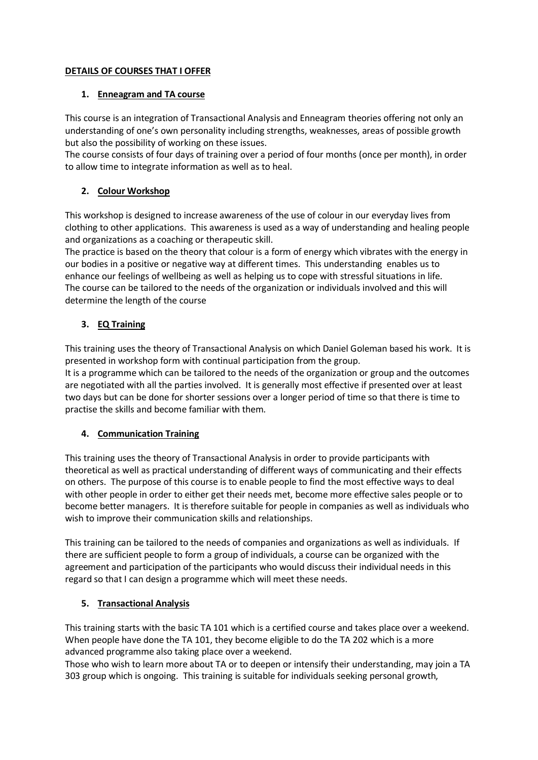### **DETAILS OF COURSES THAT I OFFER**

### **1. Enneagram and TA course**

This course is an integration of Transactional Analysis and Enneagram theories offering not only an understanding of one's own personality including strengths, weaknesses, areas of possible growth but also the possibility of working on these issues.

The course consists of four days of training over a period of four months (once per month), in order to allow time to integrate information as well as to heal.

### **2. Colour Workshop**

This workshop is designed to increase awareness of the use of colour in our everyday lives from clothing to other applications. This awareness is used as a way of understanding and healing people and organizations as a coaching or therapeutic skill.

The practice is based on the theory that colour is a form of energy which vibrates with the energy in our bodies in a positive or negative way at different times. This understanding enables us to enhance our feelings of wellbeing as well as helping us to cope with stressful situations in life. The course can be tailored to the needs of the organization or individuals involved and this will determine the length of the course

# **3. EQ Training**

This training uses the theory of Transactional Analysis on which Daniel Goleman based his work. It is presented in workshop form with continual participation from the group.

It is a programme which can be tailored to the needs of the organization or group and the outcomes are negotiated with all the parties involved. It is generally most effective if presented over at least two days but can be done for shorter sessions over a longer period of time so that there is time to practise the skills and become familiar with them.

# **4. Communication Training**

This training uses the theory of Transactional Analysis in order to provide participants with theoretical as well as practical understanding of different ways of communicating and their effects on others. The purpose of this course is to enable people to find the most effective ways to deal with other people in order to either get their needs met, become more effective sales people or to become better managers. It is therefore suitable for people in companies as well as individuals who wish to improve their communication skills and relationships.

This training can be tailored to the needs of companies and organizations as well as individuals. If there are sufficient people to form a group of individuals, a course can be organized with the agreement and participation of the participants who would discuss their individual needs in this regard so that I can design a programme which will meet these needs.

#### **5. Transactional Analysis**

This training starts with the basic TA 101 which is a certified course and takes place over a weekend. When people have done the TA 101, they become eligible to do the TA 202 which is a more advanced programme also taking place over a weekend.

Those who wish to learn more about TA or to deepen or intensify their understanding, may join a TA 303 group which is ongoing. This training is suitable for individuals seeking personal growth,